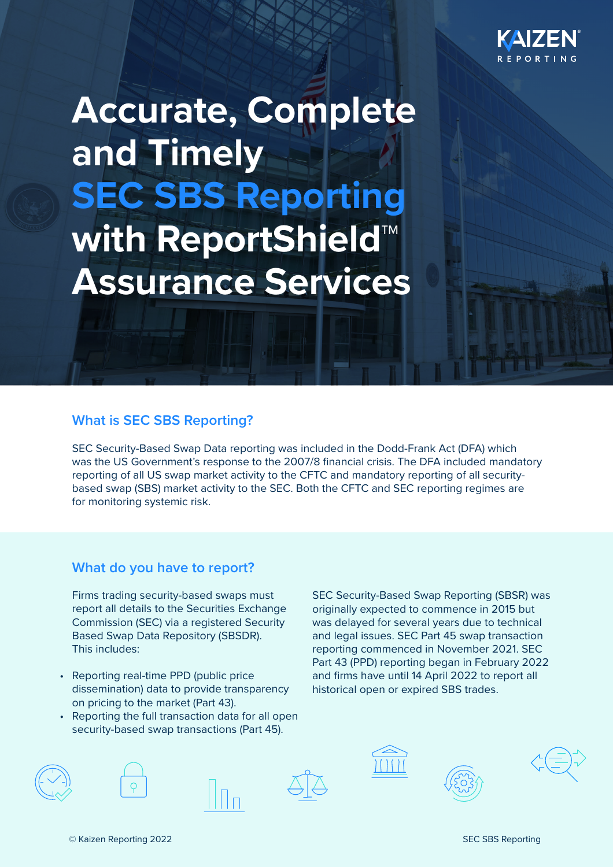

**Accurate, Complete and Timely SEC SBS Reporting with ReportShield™ Assurance Services**

### **What is SEC SBS Reporting?**

SEC Security-Based Swap Data reporting was included in the Dodd-Frank Act (DFA) which was the US Government's response to the 2007/8 financial crisis. The DFA included mandatory reporting of all US swap market activity to the CFTC and mandatory reporting of all securitybased swap (SBS) market activity to the SEC. Both the CFTC and SEC reporting regimes are for monitoring systemic risk.

### **What do you have to report?**

 Firms trading security-based swaps must report all details to the Securities Exchange Commission (SEC) via a registered Security Based Swap Data Repository (SBSDR). This includes:

- Reporting real-time PPD (public price dissemination) data to provide transparency on pricing to the market (Part 43).
- Reporting the full transaction data for all open security-based swap transactions (Part 45).

SEC Security-Based Swap Reporting (SBSR) was originally expected to commence in 2015 but was delayed for several years due to technical and legal issues. SEC Part 45 swap transaction reporting commenced in November 2021. SEC Part 43 (PPD) reporting began in February 2022 and firms have until 14 April 2022 to report all historical open or expired SBS trades.







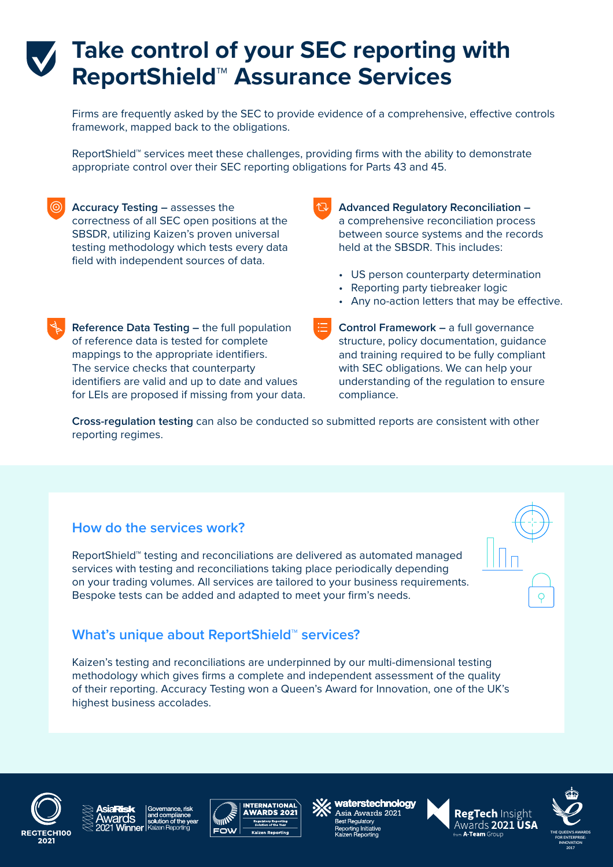# **Take control of your SEC reporting with ReportShield™ Assurance Services**

Firms are frequently asked by the SEC to provide evidence of a comprehensive, effective controls framework, mapped back to the obligations.

ReportShield™ services meet these challenges, providing firms with the ability to demonstrate appropriate control over their SEC reporting obligations for Parts 43 and 45.

**Accuracy Testing –** assesses the correctness of all SEC open positions at the SBSDR, utilizing Kaizen's proven universal testing methodology which tests every data field with independent sources of data.

**Advanced Regulatory Reconciliation –**  a comprehensive reconciliation process between source systems and the records held at the SBSDR. This includes:

- US person counterparty determination
- Reporting party tiebreaker logic
- Any no-action letters that may be effective.

**Reference Data Testing –** the full population of reference data is tested for complete mappings to the appropriate identifiers. The service checks that counterparty identifiers are valid and up to date and values for LEIs are proposed if missing from your data. **Control Framework –** a full governance structure, policy documentation, guidance and training required to be fully compliant with SEC obligations. We can help your understanding of the regulation to ensure compliance.

**Cross-regulation testing** can also be conducted so submitted reports are consistent with other reporting regimes.

## **How do the services work?**

ReportShield™ testing and reconciliations are delivered as automated managed services with testing and reconciliations taking place periodically depending on your trading volumes. All services are tailored to your business requirements. Bespoke tests can be added and adapted to meet your firm's needs.

# **What's unique about ReportShield™ services?**

Kaizen's testing and reconciliations are underpinned by our multi-dimensional testing methodology which gives firms a complete and independent assessment of the quality of their reporting. Accuracy Testing won a Queen's Award for Innovation, one of the UK's highest business accolades.





waterstechnology Asia Awards 2021